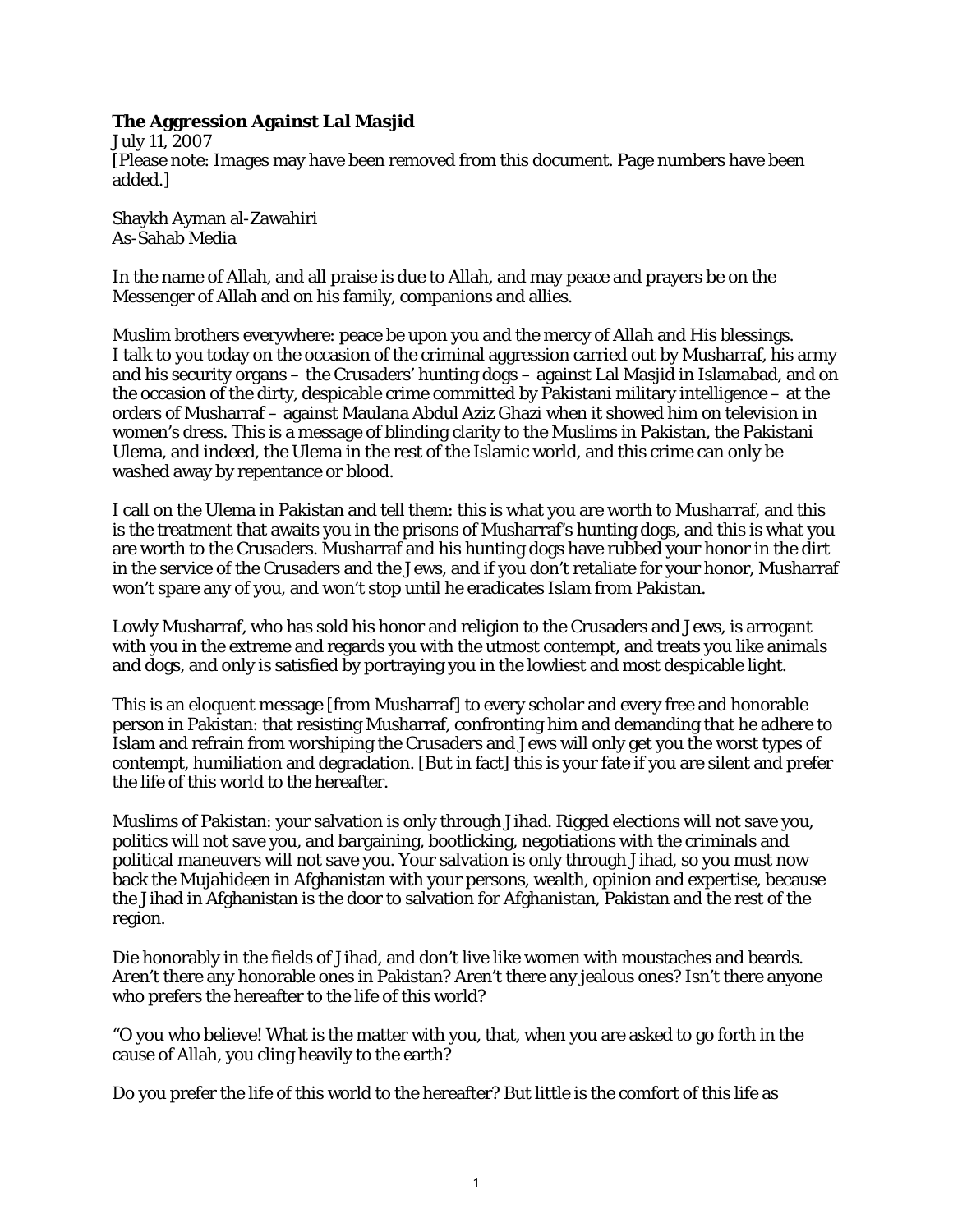## **The Aggression Against Lal Masjid**

July 11, 2007 [Please note: Images may have been removed from this document. Page numbers have been added.]

Shaykh Ayman al-Zawahiri As-Sahab Media

In the name of Allah, and all praise is due to Allah, and may peace and prayers be on the Messenger of Allah and on his family, companions and allies.

Muslim brothers everywhere: peace be upon you and the mercy of Allah and His blessings. I talk to you today on the occasion of the criminal aggression carried out by Musharraf, his army and his security organs – the Crusaders' hunting dogs – against Lal Masjid in Islamabad, and on the occasion of the dirty, despicable crime committed by Pakistani military intelligence – at the orders of Musharraf – against Maulana Abdul Aziz Ghazi when it showed him on television in women's dress. This is a message of blinding clarity to the Muslims in Pakistan, the Pakistani Ulema, and indeed, the Ulema in the rest of the Islamic world, and this crime can only be washed away by repentance or blood.

I call on the Ulema in Pakistan and tell them: this is what you are worth to Musharraf, and this is the treatment that awaits you in the prisons of Musharraf's hunting dogs, and this is what you are worth to the Crusaders. Musharraf and his hunting dogs have rubbed your honor in the dirt in the service of the Crusaders and the Jews, and if you don't retaliate for your honor, Musharraf won't spare any of you, and won't stop until he eradicates Islam from Pakistan.

Lowly Musharraf, who has sold his honor and religion to the Crusaders and Jews, is arrogant with you in the extreme and regards you with the utmost contempt, and treats you like animals and dogs, and only is satisfied by portraying you in the lowliest and most despicable light.

This is an eloquent message [from Musharraf] to every scholar and every free and honorable person in Pakistan: that resisting Musharraf, confronting him and demanding that he adhere to Islam and refrain from worshiping the Crusaders and Jews will only get you the worst types of contempt, humiliation and degradation. [But in fact] this is your fate if you are silent and prefer the life of this world to the hereafter.

Muslims of Pakistan: your salvation is only through Jihad. Rigged elections will not save you, politics will not save you, and bargaining, bootlicking, negotiations with the criminals and political maneuvers will not save you. Your salvation is only through Jihad, so you must now back the Mujahideen in Afghanistan with your persons, wealth, opinion and expertise, because the Jihad in Afghanistan is the door to salvation for Afghanistan, Pakistan and the rest of the region.

Die honorably in the fields of Jihad, and don't live like women with moustaches and beards. Aren't there any honorable ones in Pakistan? Aren't there any jealous ones? Isn't there anyone who prefers the hereafter to the life of this world?

"O you who believe! What is the matter with you, that, when you are asked to go forth in the cause of Allah, you cling heavily to the earth?

Do you prefer the life of this world to the hereafter? But little is the comfort of this life as